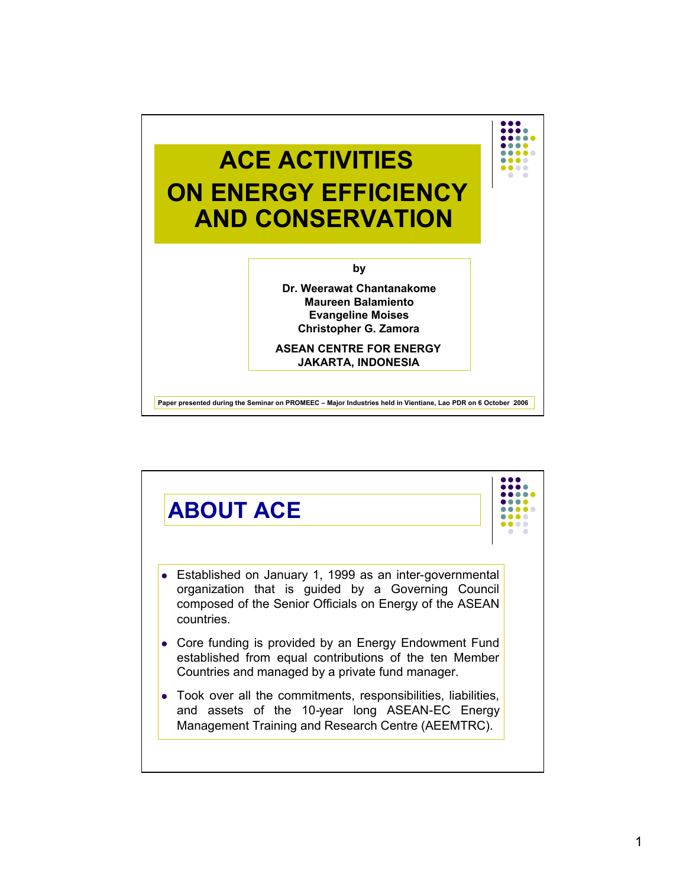

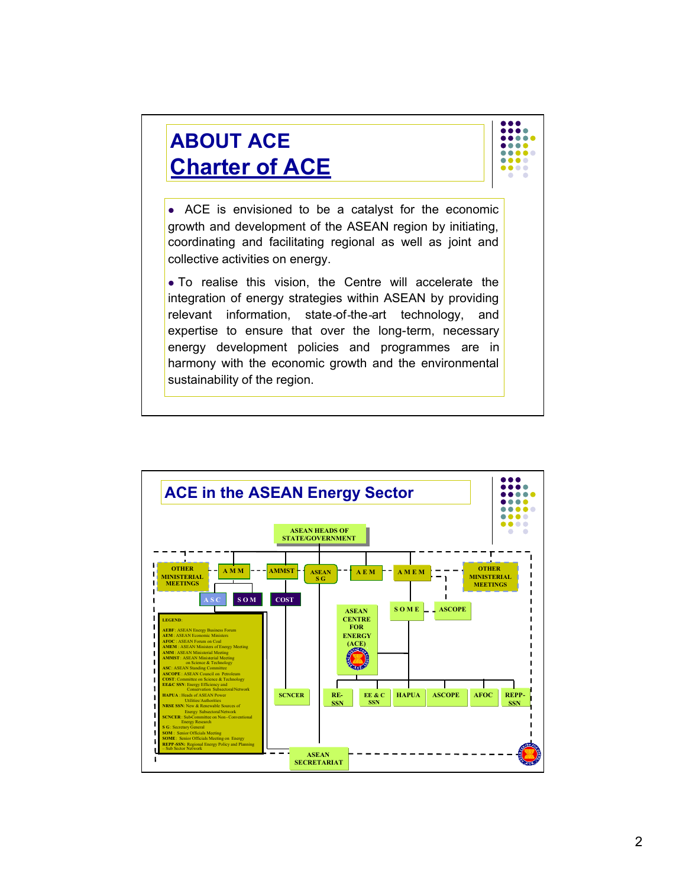

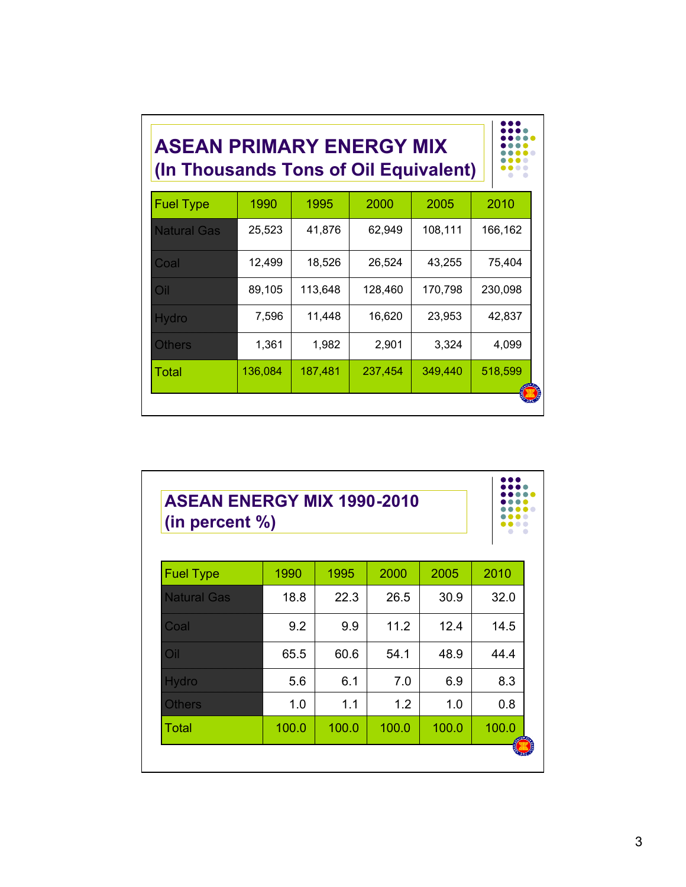| <b>ASEAN PRIMARY ENERGY MIX</b><br>(In Thousands Tons of Oil Equivalent) |         |         |         |         |         |  |  |  |  |
|--------------------------------------------------------------------------|---------|---------|---------|---------|---------|--|--|--|--|
| <b>Fuel Type</b>                                                         | 1990    | 1995    | 2000    | 2005    | 2010    |  |  |  |  |
| <b>Natural Gas</b>                                                       | 25,523  | 41,876  | 62,949  | 108,111 | 166,162 |  |  |  |  |
| Coal                                                                     | 12,499  | 18,526  | 26,524  | 43,255  | 75,404  |  |  |  |  |
| O <sub>1</sub>                                                           | 89,105  | 113,648 | 128,460 | 170,798 | 230,098 |  |  |  |  |
| Hydro                                                                    | 7,596   | 11,448  | 16,620  | 23,953  | 42,837  |  |  |  |  |
| <b>Others</b>                                                            | 1,361   | 1,982   | 2,901   | 3,324   | 4,099   |  |  |  |  |
| Total                                                                    | 136,084 | 187,481 | 237,454 | 349,440 | 518,599 |  |  |  |  |
|                                                                          |         |         |         |         |         |  |  |  |  |

| <b>Fuel Type</b><br>2000<br>2005<br>1990<br>1995<br><b>Natural Gas</b><br>18.8<br>22.3<br>30.9<br>26.5<br>9.2<br>11.2<br>12.4<br>Coal<br>9.9<br>O <sub>1</sub><br>54.1<br>65.5<br>60.6<br>48.9<br>Hydro<br>5.6<br>6.1<br>7.0<br>6.9<br>1.0<br>1.1<br>1.2<br>1.0<br><b>Others</b><br>Total<br>100.0<br>100.0<br>100.0<br>100.0 | <b>ASEAN ENERGY MIX 1990-2010</b><br>(in percent $\%$ ) |  |  |  |  |       |  |  |
|-------------------------------------------------------------------------------------------------------------------------------------------------------------------------------------------------------------------------------------------------------------------------------------------------------------------------------|---------------------------------------------------------|--|--|--|--|-------|--|--|
|                                                                                                                                                                                                                                                                                                                               |                                                         |  |  |  |  | 2010  |  |  |
|                                                                                                                                                                                                                                                                                                                               |                                                         |  |  |  |  | 32.0  |  |  |
|                                                                                                                                                                                                                                                                                                                               |                                                         |  |  |  |  | 14.5  |  |  |
|                                                                                                                                                                                                                                                                                                                               |                                                         |  |  |  |  | 44.4  |  |  |
|                                                                                                                                                                                                                                                                                                                               |                                                         |  |  |  |  | 8.3   |  |  |
|                                                                                                                                                                                                                                                                                                                               |                                                         |  |  |  |  | 0.8   |  |  |
|                                                                                                                                                                                                                                                                                                                               |                                                         |  |  |  |  | 100.0 |  |  |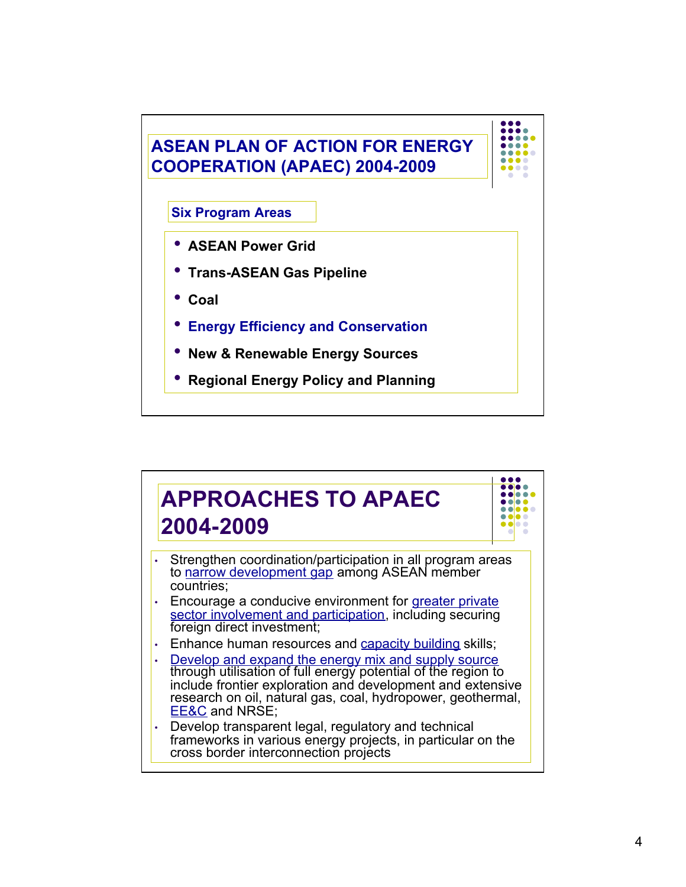

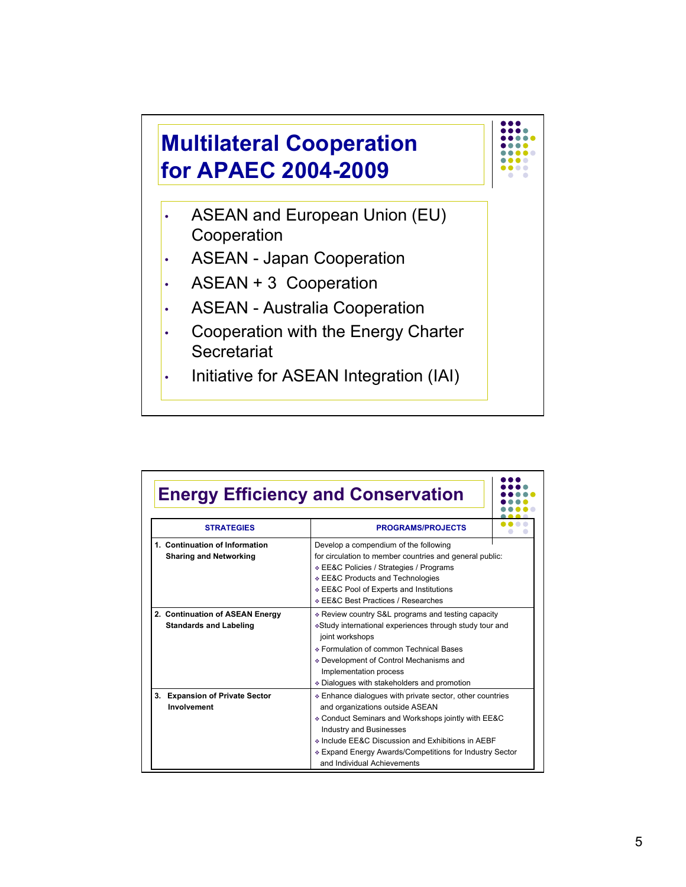

|                                                                  | <b>Energy Efficiency and Conservation</b>                                                                                                                                                                                                                                                                                          |
|------------------------------------------------------------------|------------------------------------------------------------------------------------------------------------------------------------------------------------------------------------------------------------------------------------------------------------------------------------------------------------------------------------|
| <b>STRATEGIES</b>                                                | <b>PROGRAMS/PROJECTS</b>                                                                                                                                                                                                                                                                                                           |
| 1. Continuation of Information<br><b>Sharing and Networking</b>  | Develop a compendium of the following<br>for circulation to member countries and general public:<br>∻ EE&C Policies / Strategies / Programs<br>❖ EE&C Products and Technologies<br>❖ EE&C Pool of Experts and Institutions<br>EE&C Best Practices / Researches                                                                     |
| 2. Continuation of ASEAN Energy<br><b>Standards and Labeling</b> | * Review country S&L programs and testing capacity<br>∗Study international experiences through study tour and<br>joint workshops<br>⊙ Formulation of common Technical Bases<br>♦ Development of Control Mechanisms and<br>Implementation process<br>Dialogues with stakeholders and promotion                                      |
| <b>Expansion of Private Sector</b><br>3.<br>Involvement          | ↑ Enhance dialogues with private sector, other countries<br>and organizations outside ASEAN<br>♦ Conduct Seminars and Workshops jointly with EE&C<br><b>Industry and Businesses</b><br>♦ Include EE&C Discussion and Exhibitions in AEBF<br>* Expand Energy Awards/Competitions for Industry Sector<br>and Individual Achievements |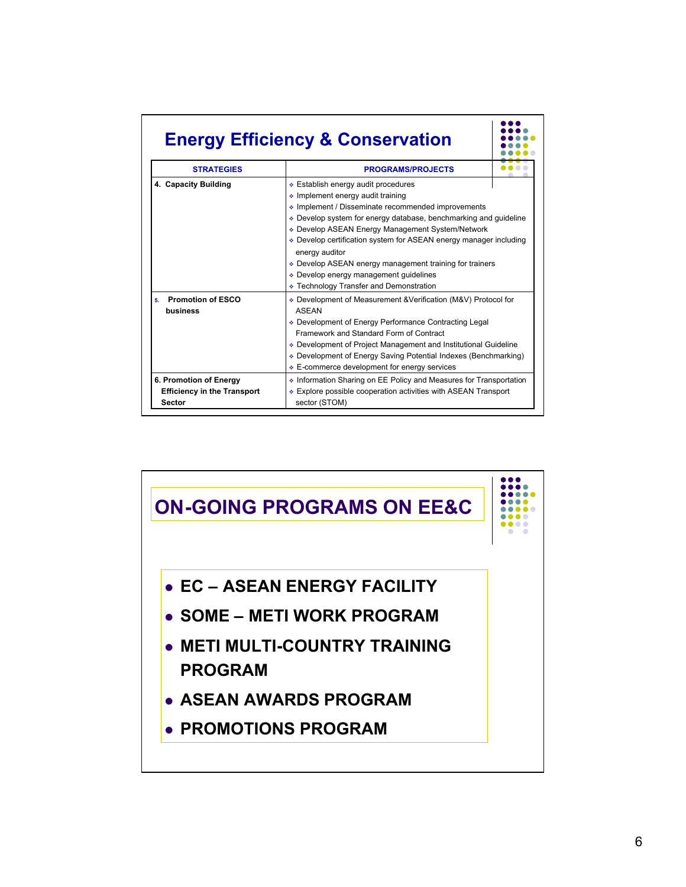## **Energy Efficiency & Conservation**

| <b>STRATEGIES</b>                                                      | <b>PROGRAMS/PROJECTS</b>                                                                                                                                                                                                                                                                                                                                                                                                                                                                    |  |  |  |  |  |
|------------------------------------------------------------------------|---------------------------------------------------------------------------------------------------------------------------------------------------------------------------------------------------------------------------------------------------------------------------------------------------------------------------------------------------------------------------------------------------------------------------------------------------------------------------------------------|--|--|--|--|--|
| 4. Capacity Building                                                   | ∻ Establish energy audit procedures<br>↓ Implement energy audit training<br>♦ Implement / Disseminate recommended improvements<br>Develop system for energy database, benchmarking and guideline<br>↑ Develop ASEAN Energy Management System/Network<br>↑ Develop certification system for ASEAN energy manager including<br>energy auditor<br>↑ Develop ASEAN energy management training for trainers<br>↑ Develop energy management guidelines<br>↑ Technology Transfer and Demonstration |  |  |  |  |  |
| <b>Promotion of ESCO</b><br>5.<br>business                             | Development of Measurement & Verification (M&V) Protocol for<br><b>ASFAN</b><br>♦ Development of Energy Performance Contracting Legal<br>Framework and Standard Form of Contract<br>Development of Project Management and Institutional Guideline<br>Development of Energy Saving Potential Indexes (Benchmarking)<br>↑ E-commerce development for energy services                                                                                                                          |  |  |  |  |  |
| 6. Promotion of Energy<br><b>Efficiency in the Transport</b><br>Sector | ↑ Information Sharing on EE Policy and Measures for Transportation<br>♦ Explore possible cooperation activities with ASEAN Transport<br>sector (STOM)                                                                                                                                                                                                                                                                                                                                       |  |  |  |  |  |

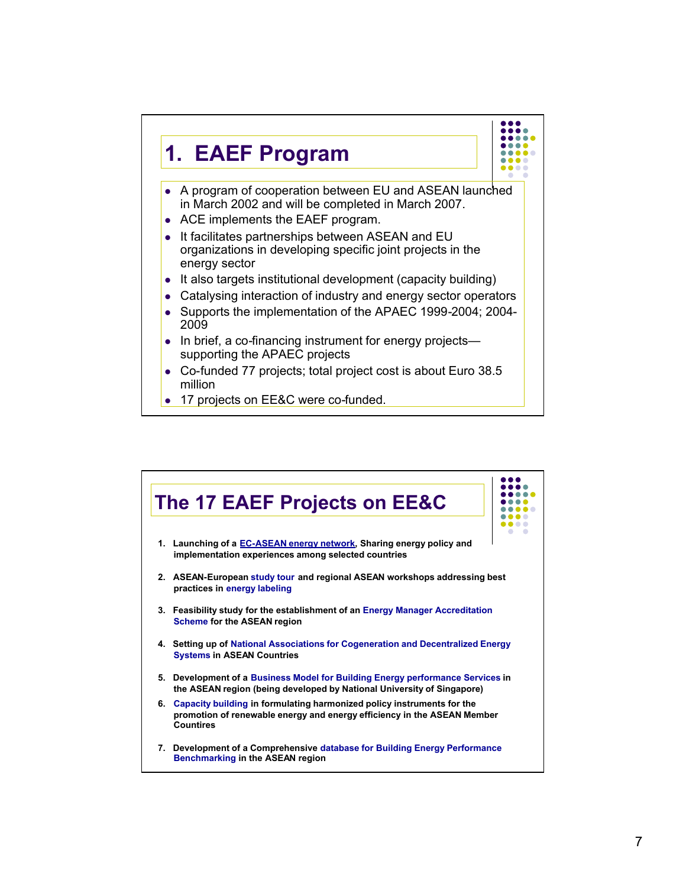

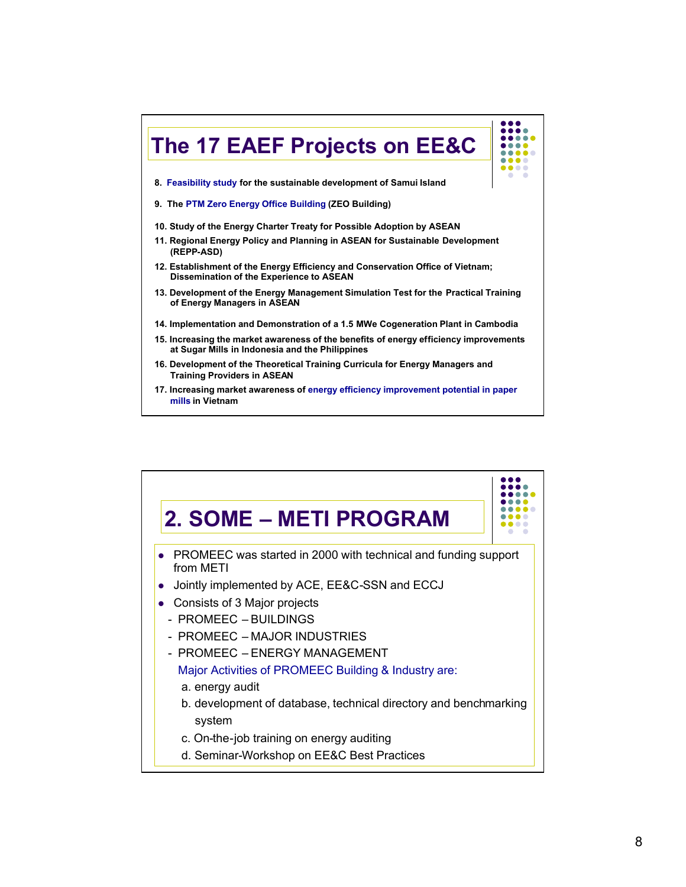

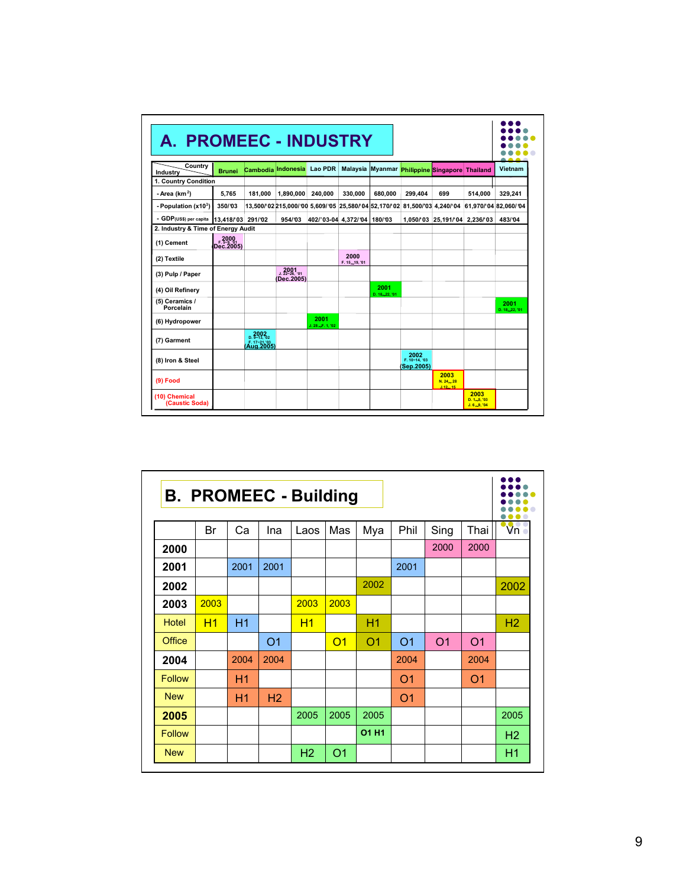| A. PROMEEC - INDUSTRY              |                   |                                     |                                      |                              |                        |                                            |                                    |                             |                                         | - -                    |
|------------------------------------|-------------------|-------------------------------------|--------------------------------------|------------------------------|------------------------|--------------------------------------------|------------------------------------|-----------------------------|-----------------------------------------|------------------------|
| Country<br>Industry                | <b>Brunei</b>     | Cambodia                            | Indonesia                            | <b>Lao PDR</b>               |                        | Malaysia Myanmar Philippine Singapore      |                                    |                             | <b>Thailand</b>                         | Vietnam                |
| 1. Country Condition               |                   |                                     |                                      |                              |                        |                                            |                                    |                             |                                         |                        |
| - Area ( $km2$ )                   | 5.765             | 181.000                             | 1,890,000                            | 240.000                      | 330.000                | 680.000                                    | 299.404                            | 699                         | 514.000                                 | 329.241                |
| - Population (x103)                | 350/03            |                                     | 13.500/02 215.000/00 5.609/05        |                              |                        | 25.580/ 04 52.170/ 02 81.500/ 03 4.240/ 04 |                                    |                             | 61.970/04 82.060/04                     |                        |
| - GDP(US\$) per capita             | 13.418/03 291/02  |                                     | 954/03                               | 402/'03-04 4,372/'04 180/'03 |                        |                                            |                                    | 1,050/03 25,191/04 2,236/03 |                                         | 483/04                 |
| 2. Industry & Time of Energy Audit |                   |                                     |                                      |                              |                        |                                            |                                    |                             |                                         |                        |
| (1) Cement                         | 2000<br>Dec.2005) |                                     |                                      |                              |                        |                                            |                                    |                             |                                         |                        |
| (2) Textile                        |                   |                                     |                                      |                              | 2000<br>F. 15, 19, '01 |                                            |                                    |                             |                                         |                        |
| (3) Pulp / Paper                   |                   |                                     | $2001$<br>J. 22~26, '01<br>Dec.2005) |                              |                        |                                            |                                    |                             |                                         |                        |
| (4) Oil Refinery                   |                   |                                     |                                      |                              |                        | 2001<br>D. 18.22. '01                      |                                    |                             |                                         |                        |
| (5) Ceramics /<br>Porcelain        |                   |                                     |                                      |                              |                        |                                            |                                    |                             |                                         | 2001<br>D. 18, 22, '01 |
| (6) Hydropower                     |                   |                                     |                                      | 2001<br>$J. 28 - F. 1. 02$   |                        |                                            |                                    |                             |                                         |                        |
| (7) Garment                        |                   | $2002$<br>D. 9-13, '02<br>Aug. 2005 |                                      |                              |                        |                                            |                                    |                             |                                         |                        |
| (8) Iron & Steel                   |                   |                                     |                                      |                              |                        |                                            | 2002<br>F. 10~14, '03<br>Sep.2005) |                             |                                         |                        |
| $(9)$ Food                         |                   |                                     |                                      |                              |                        |                                            |                                    | 2003<br>N. 24 28<br>J.1215  |                                         |                        |
| (10) Chemical<br>(Caustic Soda)    |                   |                                     |                                      |                              |                        |                                            |                                    |                             | 2003<br>$D. 1 - 5.103$<br>$J.6 - 9, 04$ |                        |

| <b>B. PROMEEC - Building</b> |      |      |                |                |                |                |                |                |                |                |  |
|------------------------------|------|------|----------------|----------------|----------------|----------------|----------------|----------------|----------------|----------------|--|
|                              | Br   | Ca   | Ina            | Laos           | Mas            | Mya            | Phil           | Sing           | Thai           | $\mathsf{V}$ n |  |
| 2000                         |      |      |                |                |                |                |                | 2000           | 2000           |                |  |
| 2001                         |      | 2001 | 2001           |                |                |                | 2001           |                |                |                |  |
| 2002                         |      |      |                |                |                | 2002           |                |                |                | 2002           |  |
| 2003                         | 2003 |      |                | 2003           | 2003           |                |                |                |                |                |  |
| <b>Hotel</b>                 | H1   | H1   |                | H1             |                | H1             |                |                |                | H <sub>2</sub> |  |
| <b>Office</b>                |      |      | O <sub>1</sub> |                | O <sub>1</sub> | O <sub>1</sub> | O <sub>1</sub> | O <sub>1</sub> | O <sub>1</sub> |                |  |
| 2004                         |      | 2004 | 2004           |                |                |                | 2004           |                | 2004           |                |  |
| <b>Follow</b>                |      | H1   |                |                |                |                | O <sub>1</sub> |                | O <sub>1</sub> |                |  |
| <b>New</b>                   |      | H1   | H2             |                |                |                | O <sub>1</sub> |                |                |                |  |
| 2005                         |      |      |                | 2005           | 2005           | 2005           |                |                |                | 2005           |  |
| <b>Follow</b>                |      |      |                |                |                | O1 H1          |                |                |                | H <sub>2</sub> |  |
| <b>New</b>                   |      |      |                | H <sub>2</sub> | O1             |                |                |                |                | H1             |  |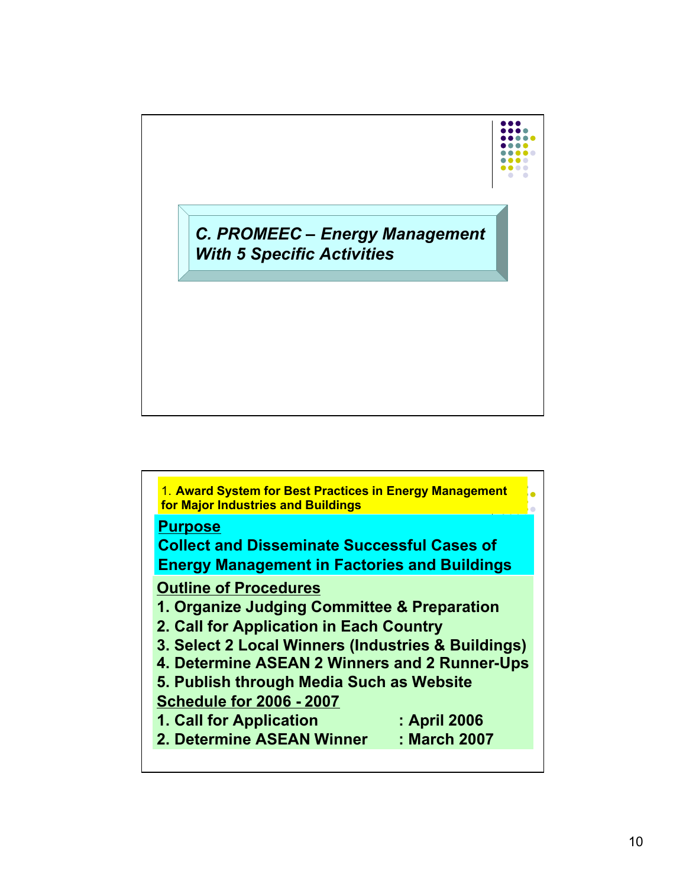

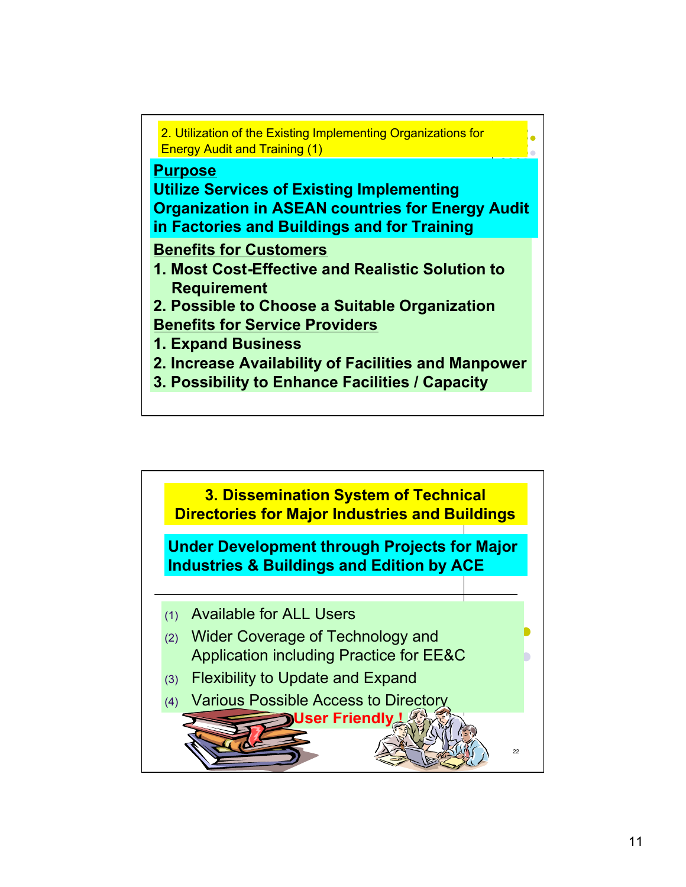

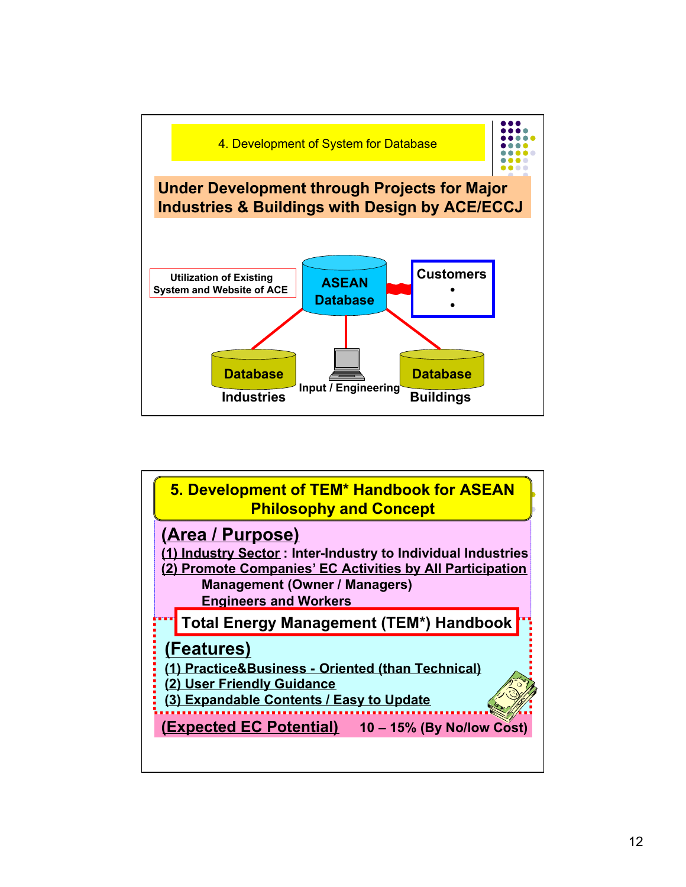

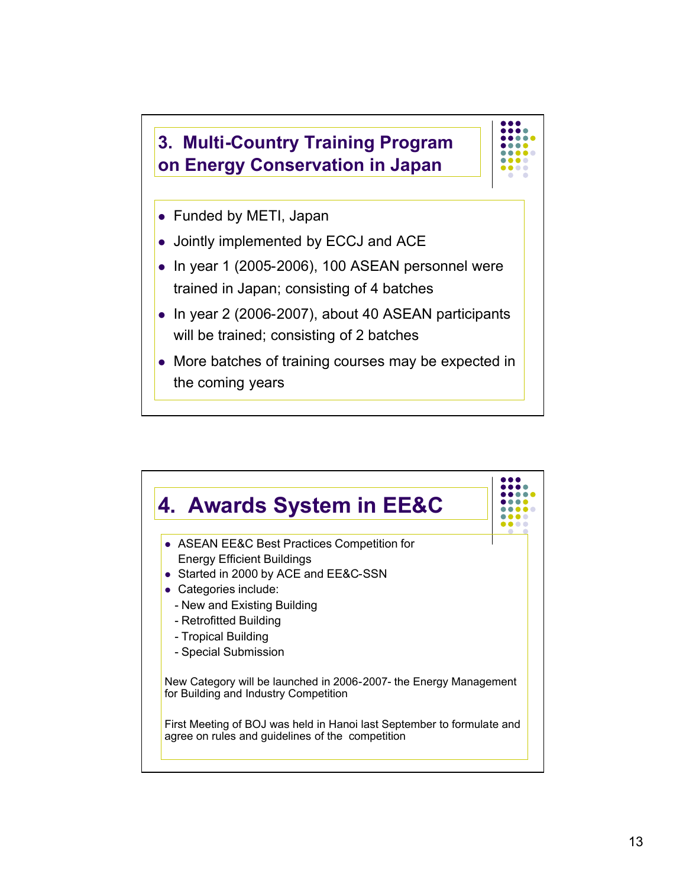



- Funded by METI, Japan
- Jointly implemented by ECCJ and ACE
- $\bullet$  In year 1 (2005-2006), 100 ASEAN personnel were trained in Japan; consisting of 4 batches
- $\bullet$  In year 2 (2006-2007), about 40 ASEAN participants will be trained; consisting of 2 batches
- More batches of training courses may be expected in the coming years